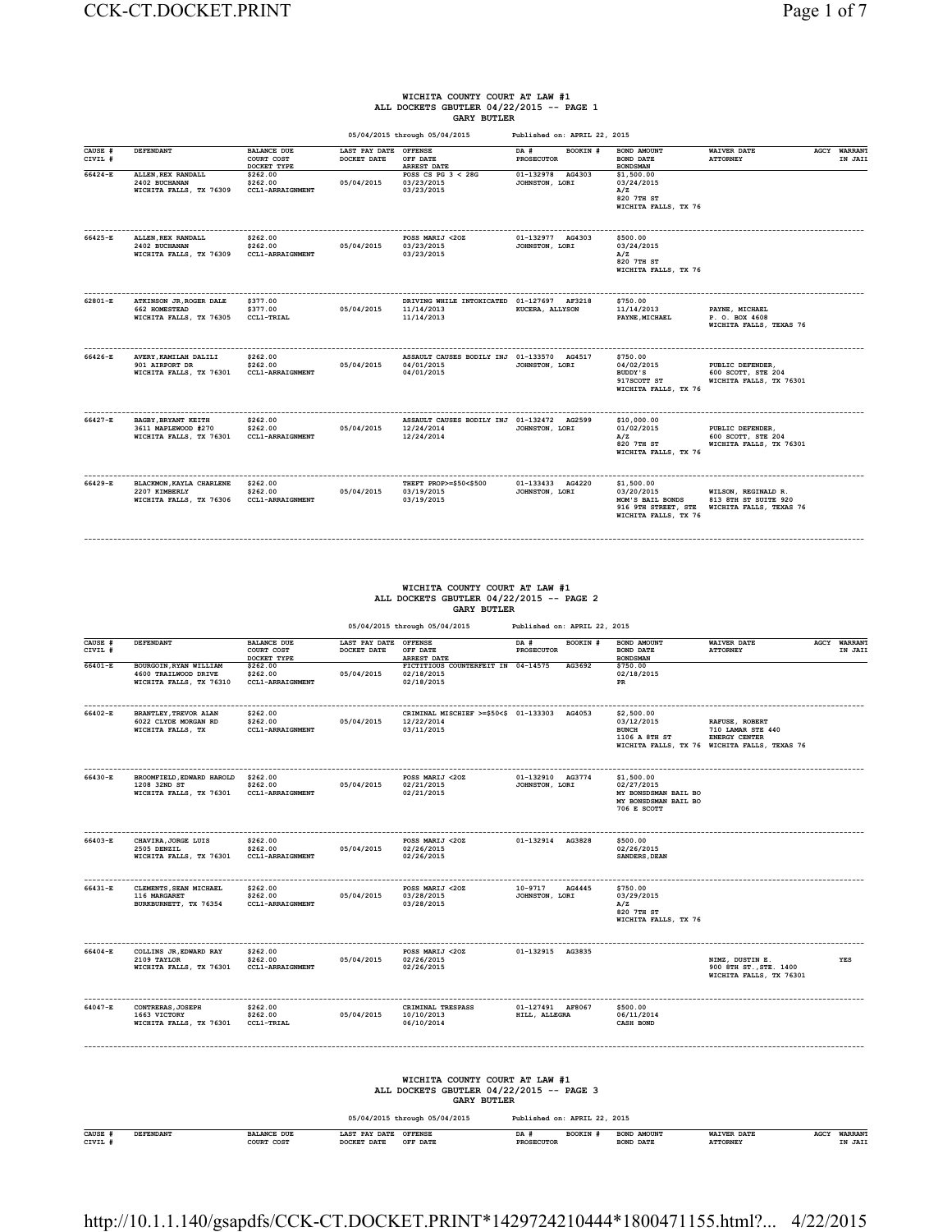#### **WICHITA COUNTY COURT AT LAW #1 ALL DOCKETS GBUTLER 04/22/2015 -- PAGE 1 GARY BUTLER**

|                    |                                                                       |                                                 |                                      | 05/04/2015 through 05/04/2015                                          | Published on: APRIL 22, 2015          |                                                                                             |                                                                        |                                |
|--------------------|-----------------------------------------------------------------------|-------------------------------------------------|--------------------------------------|------------------------------------------------------------------------|---------------------------------------|---------------------------------------------------------------------------------------------|------------------------------------------------------------------------|--------------------------------|
| CAUSE #<br>CIVIL # | DEFENDANT                                                             | <b>BALANCE DUE</b><br>COURT COST<br>DOCKET TYPE | LAST PAY DATE OFFENSE<br>DOCKET DATE | OFF DATE<br>ARREST DATE                                                | DA #<br>BOOKIN #<br><b>PROSECUTOR</b> | <b>BOND AMOUNT</b><br><b>BOND DATE</b><br><b>BONDSMAN</b>                                   | <b>WAIVER DATE</b><br><b>ATTORNEY</b>                                  | <b>AGCY WARRANT</b><br>IN JAIL |
| 66424-E            | ALLEN, REX RANDALL<br>2402 BUCHANAN<br>WICHITA FALLS, TX 76309        | \$262.00<br>\$262.00<br><b>CCL1-ARRAIGNMENT</b> | 05/04/2015                           | POSS CS PG $3 < 28$ G<br>03/23/2015<br>03/23/2015                      | 01-132978 AG4303<br>JOHNSTON, LORI    | \$1,500.00<br>03/24/2015<br>A/Z<br>820 7TH ST<br>WICHITA FALLS, TX 76                       |                                                                        |                                |
| 66425-E            | ALLEN, REX RANDALL<br>2402 BUCHANAN<br>WICHITA FALLS, TX 76309        | \$262.00<br>\$262.00<br><b>CCL1-ARRAIGNMENT</b> | 05/04/2015                           | POSS MARIJ <20Z<br>03/23/2015<br>03/23/2015                            | 01-132977 AG4303<br>JOHNSTON, LORI    | \$500.00<br>03/24/2015<br>A/Z<br>820 7TH ST<br>WICHITA FALLS, TX 76                         |                                                                        |                                |
| 62801-E            | ATKINSON JR. ROGER DALE<br>662 HOMESTEAD<br>WICHITA FALLS, TX 76305   | \$377.00<br>\$377.00<br>CCL1-TRIAL              | 05/04/2015                           | DRIVING WHILE INTOXICATED 01-127697 AF3218<br>11/14/2013<br>11/14/2013 | KUCERA, ALLYSON                       | \$750.00<br>11/14/2013<br>PAYNE, MICHAEL                                                    | PAYNE, MICHAEL<br>P. O. BOX 4608<br>WICHITA FALLS, TEXAS 76            |                                |
| 66426-E            | AVERY, KAMILAH DALILI<br>901 AIRPORT DR<br>WICHITA FALLS, TX 76301    | \$262.00<br>\$262.00<br><b>CCL1-ARRAIGNMENT</b> | 05/04/2015                           | ASSAULT CAUSES BODILY INJ 01-133570 AG4517<br>04/01/2015<br>04/01/2015 | JOHNSTON, LORI                        | \$750.00<br>04/02/2015<br>BUDDY'S<br>917SCOTT ST<br>WICHITA FALLS, TX 76                    | PUBLIC DEFENDER,<br>600 SCOTT, STE 204<br>WICHITA FALLS, TX 76301      |                                |
| 66427-E            | BAGBY, BRYANT KEITH<br>3611 MAPLEWOOD #270<br>WICHITA FALLS, TX 76301 | \$262.00<br>\$262.00<br><b>CCL1-ARRAIGNMENT</b> | 05/04/2015                           | ASSAULT CAUSES BODILY INJ 01-132472 AG2599<br>12/24/2014<br>12/24/2014 | JOHNSTON, LORI                        | \$10,000.00<br>01/02/2015<br>A/Z<br>820 7TH ST<br>WICHITA FALLS, TX 76                      | PUBLIC DEFENDER,<br>600 SCOTT, STE 204<br>WICHITA FALLS, TX 76301      |                                |
| 66429-E            | BLACKMON, KAYLA CHARLENE<br>2207 KIMBERLY<br>WICHITA FALLS, TX 76306  | \$262.00<br>\$262.00<br><b>CCL1-ARRAIGNMENT</b> | 05/04/2015                           | THEFT PROP>=\$50<\$500<br>03/19/2015<br>03/19/2015                     | 01-133433 AG4220<br>JOHNSTON, LORI    | \$1,500.00<br>03/20/2015<br>MOM'S BAIL BONDS<br>916 9TH STREET, STE<br>WICHITA FALLS, TX 76 | WILSON, REGINALD R.<br>813 8TH ST SUITE 920<br>WICHITA FALLS, TEXAS 76 |                                |

## **WICHITA COUNTY COURT AT LAW #1 ALL DOCKETS GBUTLER 04/22/2015 -- PAGE 2 GARY BUTLER**

**------------------------------------------------------------------------------------------------------------------------------------------------------------------------------------------**

| 05/04/2015 through 05/04/2015 | Published on: APRIL 22, 2015 |
|-------------------------------|------------------------------|

| CAUSE #<br>CIVIL # | DEFENDANT                                                                 | <b>BALANCE DUE</b><br>COURT COST<br>DOCKET TYPE | LAST PAY DATE OFFENSE<br>DOCKET DATE | OFF DATE<br><b>ARREST DATE</b>                                                                   | DA #<br><b>PROSECUTOR</b>          | BOOKIN # | BOND AMOUNT<br><b>BOND DATE</b><br><b>BONDSMAN</b>                                      | <b>WAIVER DATE</b><br><b>ATTORNEY</b>                                                                       | <b>AGCY WARRANT</b><br>IN JAIL |
|--------------------|---------------------------------------------------------------------------|-------------------------------------------------|--------------------------------------|--------------------------------------------------------------------------------------------------|------------------------------------|----------|-----------------------------------------------------------------------------------------|-------------------------------------------------------------------------------------------------------------|--------------------------------|
| $66401 - E$        | BOURGOIN, RYAN WILLIAM<br>4600 TRAILWOOD DRIVE<br>WICHITA FALLS, TX 76310 | \$262.00<br>\$262.00<br>CCL1-ARRAIGNMENT        | 05/04/2015                           | FICTITIOUS COUNTERFEIT IN 04-14575<br>02/18/2015<br>02/18/2015                                   |                                    | AG3692   | \$750.00<br>02/18/2015<br>PR                                                            |                                                                                                             |                                |
| 66402-E            | <b>BRANTLEY, TREVOR ALAN</b><br>6022 CLYDE MORGAN RD<br>WICHITA FALLS, TX | \$262.00<br>\$262.00<br><b>CCL1-ARRAIGNMENT</b> | 05/04/2015                           | CRIMINAL MISCHIEF >=\$50<\$ 01-133303 AG4053<br>12/22/2014<br>03/11/2015                         |                                    |          | \$2,500.00<br>03/12/2015<br><b>BUNCH</b><br>1106 A 8TH ST                               | RAFUSE, ROBERT<br>710 LAMAR STE 440<br><b>ENERGY CENTER</b><br>WICHITA FALLS, TX 76 WICHITA FALLS, TEXAS 76 |                                |
| 66430-E            | BROOMFIELD, EDWARD HAROLD<br>1208 32ND ST<br>WICHITA FALLS, TX 76301      | \$262.00<br>\$262.00<br>CCL1-ARRAIGNMENT        | 05/04/2015                           | POSS MARIJ <20Z<br>02/21/2015<br>02/21/2015                                                      | 01-132910 AG3774<br>JOHNSTON, LORI |          | \$1,500.00<br>02/27/2015<br>MY BONSDSMAN BAIL BO<br>MY BONSDSMAN BAIL BO<br>706 E SCOTT |                                                                                                             |                                |
| 66403-E            | CHAVIRA, JORGE LUIS<br>2505 DENZIL<br>WICHITA FALLS, TX 76301             | \$262.00<br>\$262.00<br>CCL1-ARRAIGNMENT        | 05/04/2015                           | POSS MARIJ <20Z<br>02/26/2015<br>02/26/2015                                                      | 01-132914 AG3828                   |          | \$500.00<br>02/26/2015<br>SANDERS, DEAN                                                 |                                                                                                             |                                |
| 66431-E            | CLEMENTS, SEAN MICHAEL<br>116 MARGARET<br>BURKBURNETT, TX 76354           | \$262.00<br>\$262.00<br>CCL1-ARRAIGNMENT        | 05/04/2015                           | POSS MARIJ <20Z<br>03/28/2015<br>03/28/2015                                                      | 10-9717<br>JOHNSTON, LORI          | AG4445   | \$750.00<br>03/29/2015<br>A/Z<br>820 7TH ST<br>WICHITA FALLS, TX 76                     |                                                                                                             |                                |
| 66404-E            | COLLINS JR, EDWARD RAY<br>2109 TAYLOR<br>WICHITA FALLS, TX 76301          | \$262.00<br>\$262.00<br>CCL1-ARRAIGNMENT        | 05/04/2015                           | POSS MARIJ <20Z<br>02/26/2015<br>02/26/2015                                                      | 01-132915 AG3835                   |          |                                                                                         | NIMZ, DUSTIN E.<br>900 8TH ST., STE. 1400<br>WICHITA FALLS, TX 76301                                        | YES                            |
| 64047-E            | CONTRERAS, JOSEPH<br>1663 VICTORY<br>WICHITA FALLS, TX 76301              | \$262.00<br>\$262.00<br>CCL1-TRIAL              | 05/04/2015                           | CRIMINAL TRESPASS<br>10/10/2013<br>06/10/2014                                                    | 01-127491 AF8067<br>HILL, ALLEGRA  |          | \$500.00<br>06/11/2014<br>CASH BOND                                                     |                                                                                                             |                                |
|                    |                                                                           |                                                 |                                      | WICHITA COUNTY COURT AT LAW #1<br>ALL DOCKETS GBUTLER 04/22/2015 -- PAGE 3<br><b>GARY BUTLER</b> |                                    |          |                                                                                         |                                                                                                             |                                |
|                    |                                                                           |                                                 |                                      | 05/04/2015 through 05/04/2015                                                                    | Published on: APRIL 22, 2015       |          |                                                                                         |                                                                                                             |                                |
| CAUSE #<br>CIVIL # | <b>DEFENDANT</b>                                                          | <b>BALANCE DUE</b><br>COURT COST                | LAST PAY DATE OFFENSE<br>DOCKET DATE | OFF DATE                                                                                         | DA #<br><b>PROSECUTOR</b>          | BOOKIN # | BOND AMOUNT<br><b>BOND DATE</b>                                                         | <b>WAIVER DATE</b><br><b>ATTORNEY</b>                                                                       | AGCY WARRANT<br>IN JAII        |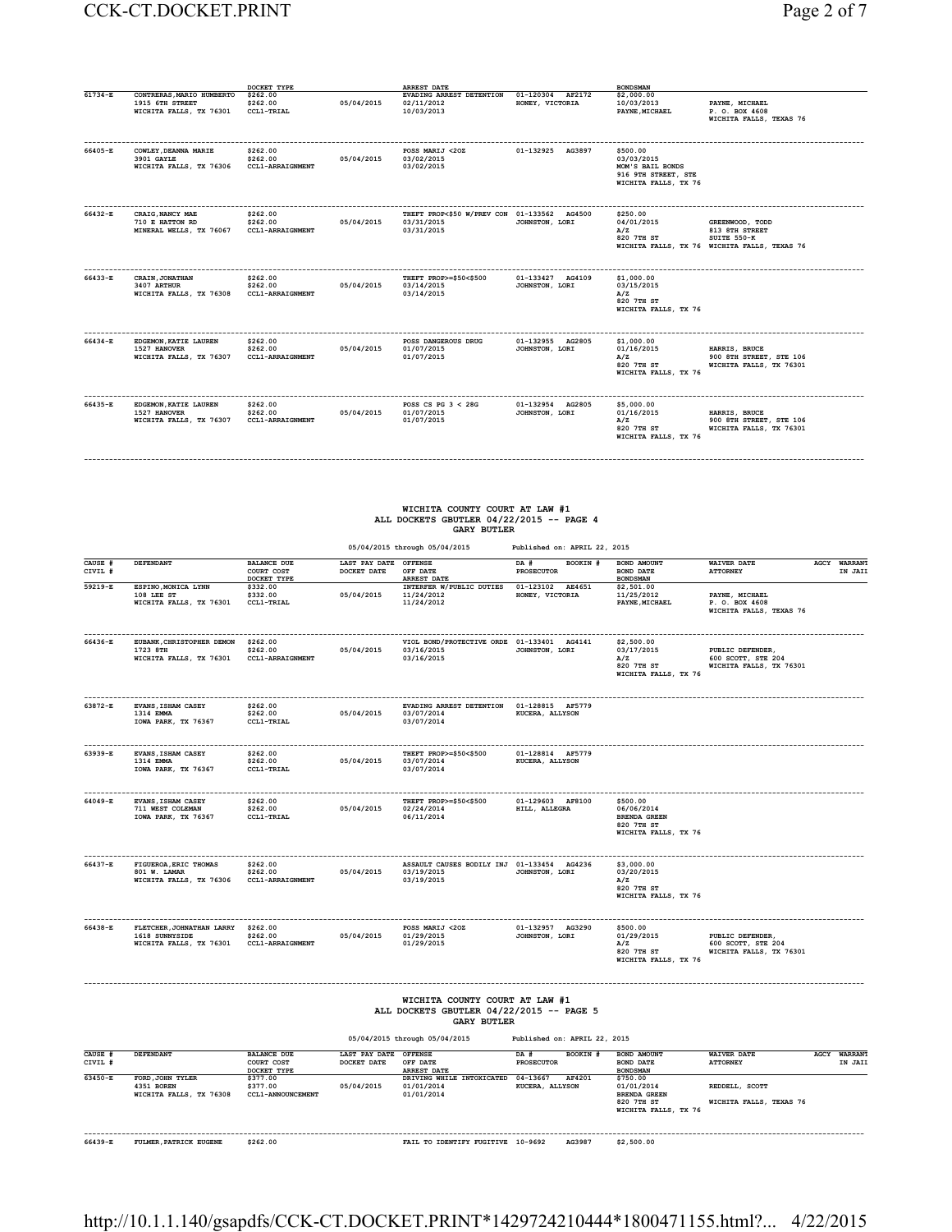#### CCK-CT.DOCKET.PRINT Page 2 of 7

| age |  |
|-----|--|
|-----|--|

|             |                                                                         | DOCKET TYPE                                     |            | <b>ARREST DATE</b>                                                      |                                     | <b>BONDSMAN</b>                                                                           |                                                                                                  |
|-------------|-------------------------------------------------------------------------|-------------------------------------------------|------------|-------------------------------------------------------------------------|-------------------------------------|-------------------------------------------------------------------------------------------|--------------------------------------------------------------------------------------------------|
| $61734 - E$ | CONTRERAS, MARIO HUMBERTO<br>1915 6TH STREET<br>WICHITA FALLS, TX 76301 | \$262.00<br>\$262.00<br>CCL1-TRIAL              | 05/04/2015 | EVADING ARREST DETENTION<br>02/11/2012<br>10/03/2013                    | 01-120304 AF2172<br>HONEY, VICTORIA | \$2,000.00<br>10/03/2013<br>PAYNE, MICHAEL                                                | PAYNE, MICHAEL<br>P. O. BOX 4608<br>WICHITA FALLS, TEXAS 76                                      |
| 66405-E     | COWLEY, DEANNA MARIE<br>3901 GAYLE<br>WICHITA FALLS, TX 76306           | \$262.00<br>\$262.00<br><b>CCL1-ARRAIGNMENT</b> | 05/04/2015 | POSS MARIJ <20Z<br>03/02/2015<br>03/02/2015                             | 01-132925 AG3897                    | \$500.00<br>03/03/2015<br>MOM'S BAIL BONDS<br>916 9TH STREET, STE<br>WICHITA FALLS, TX 76 |                                                                                                  |
| 66432-E     | CRAIG, NANCY MAE<br>710 E HATTON RD<br>MINERAL WELLS, TX 76067          | \$262.00<br>\$262.00<br><b>CCL1-ARRAIGNMENT</b> | 05/04/2015 | THEFT PROP<\$50 W/PREV CON 01-133562 AG4500<br>03/31/2015<br>03/31/2015 | JOHNSTON, LORI                      | \$250.00<br>04/01/2015<br>A/Z<br>820 7TH ST                                               | GREENWOOD, TODD<br>813 8TH STREET<br>SUITE 550-K<br>WICHITA FALLS, TX 76 WICHITA FALLS, TEXAS 76 |
| 66433-E     | CRAIN, JONATHAN<br>3407 ARTHUR<br>WICHITA FALLS, TX 76308               | \$262.00<br>\$262.00<br><b>CCL1-ARRAIGNMENT</b> | 05/04/2015 | THEFT PROP>=\$50<\$500<br>03/14/2015<br>03/14/2015                      | 01-133427 AG4109<br>JOHNSTON, LORI  | \$1,000.00<br>03/15/2015<br>A/Z<br>820 7TH ST<br>WICHITA FALLS, TX 76                     |                                                                                                  |
| 66434-E     | EDGEMON, KATIE LAUREN<br>1527 HANOVER<br>WICHITA FALLS, TX 76307        | \$262.00<br>\$262.00<br><b>CCL1-ARRAIGNMENT</b> | 05/04/2015 | POSS DANGEROUS DRUG<br>01/07/2015<br>01/07/2015                         | 01-132955 AG2805<br>JOHNSTON, LORI  | \$1,000.00<br>01/16/2015<br>A/Z<br>820 7TH ST<br>WICHITA FALLS, TX 76                     | HARRIS, BRUCE<br>900 8TH STREET, STE 106<br>WICHITA FALLS, TX 76301                              |
| 66435-E     | EDGEMON, KATIE LAUREN<br>1527 HANOVER<br>WICHITA FALLS, TX 76307        | \$262.00<br>\$262.00<br>CCL1-ARRAIGNMENT        | 05/04/2015 | POSS CS PG $3 < 28$ G<br>01/07/2015<br>01/07/2015                       | 01-132954 AG2805<br>JOHNSTON, LORI  | \$5,000.00<br>01/16/2015<br>A/Z<br>820 7TH ST<br>WICHITA FALLS, TX 76                     | HARRIS, BRUCE<br>900 8TH STREET, STE 106<br>WICHITA FALLS, TX 76301                              |

# **WICHITA COUNTY COURT AT LAW #1 ALL DOCKETS GBUTLER 04/22/2015 -- PAGE 4 GARY BUTLER**

**------------------------------------------------------------------------------------------------------------------------------------------------------------------------------------------**

|                    |                                                                                          |                                                 |                                      | 05/04/2015 through 05/04/2015                                                                    | Published on: APRIL 22, 2015          |                                                                                     |                                                                   |                         |
|--------------------|------------------------------------------------------------------------------------------|-------------------------------------------------|--------------------------------------|--------------------------------------------------------------------------------------------------|---------------------------------------|-------------------------------------------------------------------------------------|-------------------------------------------------------------------|-------------------------|
| CAUSE #<br>CIVIL # | <b>DEFENDANT</b>                                                                         | <b>BALANCE DUE</b><br>COURT COST<br>DOCKET TYPE | LAST PAY DATE OFFENSE<br>DOCKET DATE | OFF DATE<br><b>ARREST DATE</b>                                                                   | BOOKIN #<br>DA #<br><b>PROSECUTOR</b> | BOND AMOUNT<br><b>BOND DATE</b><br><b>BONDSMAN</b>                                  | <b>WAIVER DATE</b><br><b>ATTORNEY</b>                             | AGCY WARRANT<br>IN JAII |
| 59219-E            | ESPINO, MONICA LYNN<br>108 LEE ST<br>WICHITA FALLS, TX 76301                             | \$332.00<br>\$332.00<br>CCL1-TRIAL              | 05/04/2015                           | INTERFER W/PUBLIC DUTIES<br>11/24/2012<br>11/24/2012                                             | 01-123102 AE4651<br>HONEY, VICTORIA   | \$2,501.00<br>11/25/2012<br>PAYNE, MICHAEL                                          | PAYNE, MICHAEL<br>P. O. BOX 4608<br>WICHITA FALLS, TEXAS 76       |                         |
| 66436-E            | EUBANK, CHRISTOPHER DEMON<br>1723 8TH<br>WICHITA FALLS, TX 76301                         | \$262.00<br>\$262.00<br>CCL1-ARRAIGNMENT        | 05/04/2015                           | VIOL BOND/PROTECTIVE ORDE 01-133401 AG4141<br>03/16/2015<br>03/16/2015                           | JOHNSTON, LORI                        | \$2,500.00<br>03/17/2015<br>A/Z<br>820 7TH ST<br>WICHITA FALLS, TX 76               | PUBLIC DEFENDER,<br>600 SCOTT, STE 204<br>WICHITA FALLS, TX 76301 |                         |
| 63872-E            | EVANS, ISHAM CASEY<br>1314 EMMA<br>IOWA PARK, TX 76367                                   | \$262.00<br>\$262.00<br>CCL1-TRIAL              | 05/04/2015                           | EVADING ARREST DETENTION<br>03/07/2014<br>03/07/2014                                             | 01-128815 AF5779<br>KUCERA, ALLYSON   |                                                                                     |                                                                   |                         |
| 63939-E            | EVANS, ISHAM CASEY<br>1314 EMMA<br>IOWA PARK, TX 76367                                   | \$262.00<br>\$262.00<br>CCL1-TRIAL              | 05/04/2015                           | THEFT PROP>=\$50<\$500<br>03/07/2014<br>03/07/2014                                               | 01-128814 AF5779<br>KUCERA, ALLYSON   |                                                                                     |                                                                   |                         |
| 64049-E            | -----------------------<br>EVANS, ISHAM CASEY<br>711 WEST COLEMAN<br>IOWA PARK, TX 76367 | \$262.00<br>\$262.00<br>CCL1-TRIAL              | 05/04/2015                           | THEFT PROP>=\$50<\$500<br>02/24/2014<br>06/11/2014                                               | 01-129603 AF8100<br>HILL, ALLEGRA     | \$500.00<br>06/06/2014<br><b>BRENDA GREEN</b><br>820 7TH ST<br>WICHITA FALLS, TX 76 |                                                                   |                         |
| 66437-E            | FIGUEROA, ERIC THOMAS<br>801 W. LAMAR<br>WICHITA FALLS, TX 76306                         | \$262.00<br>\$262.00<br>CCL1-ARRAIGNMENT        | 05/04/2015                           | ASSAULT CAUSES BODILY INJ 01-133454 AG4236<br>03/19/2015<br>03/19/2015                           | JOHNSTON, LORI                        | \$3,000.00<br>03/20/2015<br>A/Z<br>820 7TH ST<br>WICHITA FALLS, TX 76               |                                                                   |                         |
| 66438-E            | FLETCHER, JOHNATHAN LARRY<br>1618 SUNNYSIDE<br>WICHITA FALLS, TX 76301                   | \$262.00<br>\$262.00<br><b>CCL1-ARRAIGNMENT</b> | 05/04/2015                           | POSS MARIJ <20Z<br>01/29/2015<br>01/29/2015                                                      | 01-132957 AG3290<br>JOHNSTON, LORI    | \$500.00<br>01/29/2015<br>A/Z<br>820 7TH ST<br>WICHITA FALLS, TX 76                 | PUBLIC DEFENDER,<br>600 SCOTT, STE 204<br>WICHITA FALLS, TX 76301 |                         |
|                    |                                                                                          |                                                 |                                      | WICHITA COUNTY COURT AT LAW #1<br>ALL DOCKETS GBUTLER 04/22/2015 -- PAGE 5<br><b>GARY BUTLER</b> |                                       |                                                                                     |                                                                   |                         |
|                    |                                                                                          |                                                 |                                      | 05/04/2015 through 05/04/2015                                                                    | Published on: APRIL 22, 2015          |                                                                                     |                                                                   |                         |
| CAUSE #<br>CIVIL # | DEFENDANT                                                                                | <b>BALANCE DUE</b><br>COURT COST<br>DOCKET TYPE | LAST PAY DATE OFFENSE<br>DOCKET DATE | OFF DATE<br><b>ARREST DATE</b>                                                                   | BOOKIN #<br>DA #<br><b>PROSECUTOR</b> | BOND AMOUNT<br>BOND DATE<br><b>BONDSMAN</b>                                         | <b>WAIVER DATE</b><br><b>ATTORNEY</b>                             | AGCY WARRANT<br>IN JAII |
| $63450 - E$        | FORD, JOHN TYLER<br>4351 BOREN<br>WICHITA FALLS, TX 76308                                | \$377.00<br>\$377.00<br>CCL1-ANNOUNCEMENT       | 05/04/2015                           | DRIVING WHILE INTOXICATED<br>01/01/2014<br>01/01/2014                                            | 04-13667<br>AF4201<br>KUCERA, ALLYSON | \$750.00<br>01/01/2014<br><b>BRENDA GREEN</b><br>820 7TH ST<br>WICHITA FALLS, TX 76 | REDDELL, SCOTT<br>WICHITA FALLS, TEXAS 76                         |                         |
| 66439-E            | FULMER, PATRICK EUGENE                                                                   | \$262.00                                        |                                      | FAIL TO IDENTIFY FUGITIVE 10-9692                                                                | AG3987                                | \$2,500.00                                                                          |                                                                   |                         |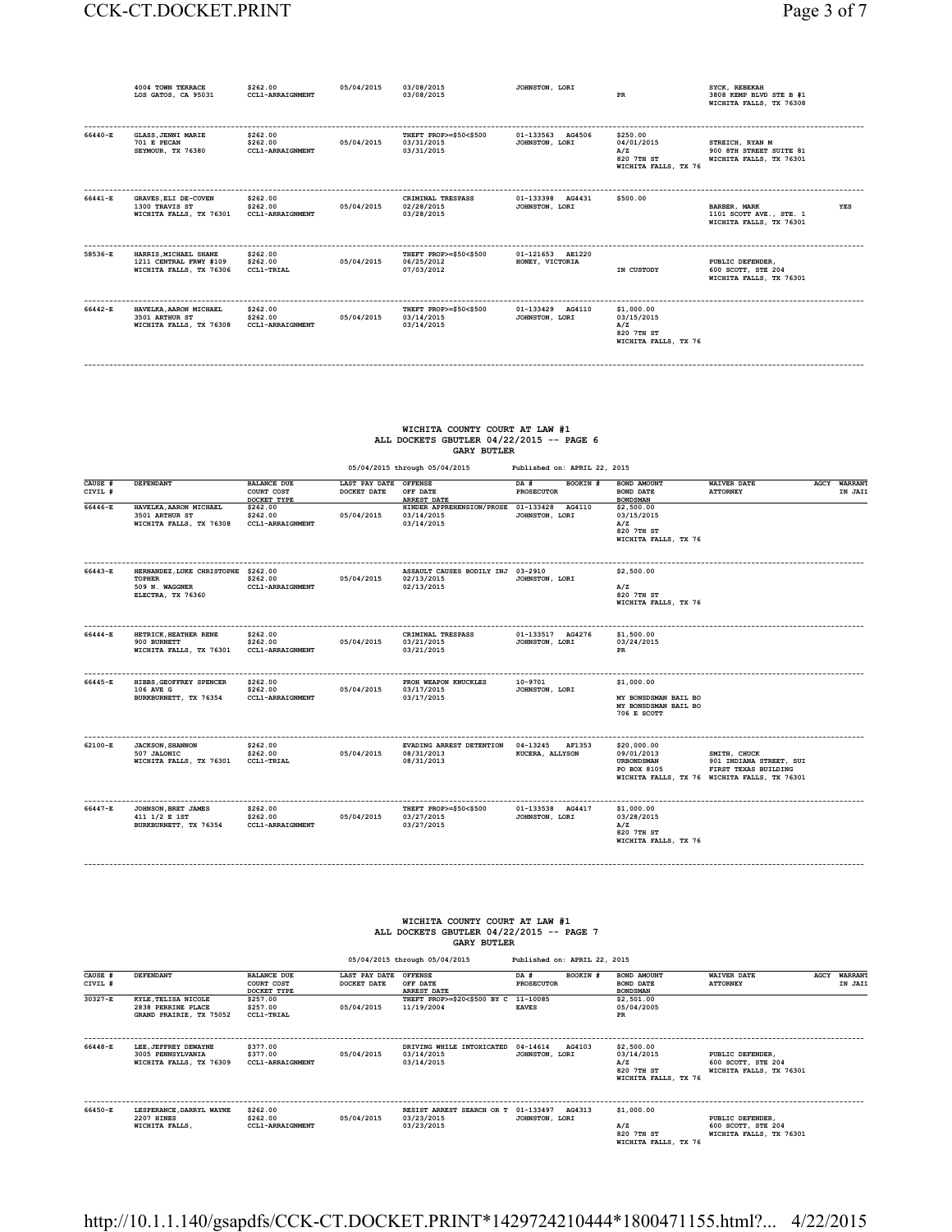|         | 4004 TOWN TERRACE<br>LOS GATOS, CA 95031                                   | \$262.00<br><b>CCL1-ARRAIGNMENT</b>             | 05/04/2015 | 03/08/2015<br>03/08/2015                           | JOHNSTON, LORI                      | PR                                                                    | SYCK, REBEKAH<br>3808 KEMP BLVD STE B #1<br>WICHITA FALLS, TX 76308              |
|---------|----------------------------------------------------------------------------|-------------------------------------------------|------------|----------------------------------------------------|-------------------------------------|-----------------------------------------------------------------------|----------------------------------------------------------------------------------|
| 66440-E | <b>GLASS, JENNI MARIE</b><br>701 E PECAN<br>SEYMOUR, TX 76380              | \$262.00<br>\$262.00<br><b>CCL1-ARRAIGNMENT</b> | 05/04/2015 | THEFT PROP>=\$50<\$500<br>03/31/2015<br>03/31/2015 | 01-133563 AG4506<br>JOHNSTON, LORI  | \$250.00<br>04/01/2015<br>A/Z<br>820 7TH ST<br>WICHITA FALLS, TX 76   | STREICH, RYAN M<br>900 8TH STREET SUITE 81<br>WICHITA FALLS, TX 76301            |
| 66441-E | <b>GRAVES, ELI DE-COVEN</b><br>1300 TRAVIS ST<br>WICHITA FALLS, TX 76301   | \$262.00<br>\$262.00<br><b>CCL1-ARRAIGNMENT</b> | 05/04/2015 | CRIMINAL TRESPASS<br>02/28/2015<br>03/28/2015      | 01-133398 AG4431<br>JOHNSTON, LORI  | \$500.00                                                              | <b>BARBER, MARK</b><br>YES<br>1101 SCOTT AVE., STE. 1<br>WICHITA FALLS, TX 76301 |
| 58536-E | HARRIS, MICHAEL SHANE<br>1211 CENTRAL FRWY #109<br>WICHITA FALLS, TX 76306 | \$262.00<br>\$262.00<br>CCL1-TRIAL              | 05/04/2015 | THEFT PROP>=\$50<\$500<br>06/25/2012<br>07/03/2012 | 01-121653 AE1220<br>HONEY, VICTORIA | IN CUSTODY                                                            | PUBLIC DEFENDER.<br>600 SCOTT, STE 204<br>WICHITA FALLS, TX 76301                |
| 66442-E | HAVELKA, AARON MICHAEL<br>3501 ARTHUR ST<br>WICHITA FALLS, TX 76308        | \$262.00<br>\$262.00<br><b>CCL1-ARRAIGNMENT</b> | 05/04/2015 | THEFT PROP>=\$50<\$500<br>03/14/2015<br>03/14/2015 | 01-133429 AG4110<br>JOHNSTON, LORI  | \$1,000.00<br>03/15/2015<br>A/Z<br>820 7TH ST<br>WICHITA FALLS, TX 76 |                                                                                  |

#### **WICHITA COUNTY COURT AT LAW #1 ALL DOCKETS GBUTLER 04/22/2015 -- PAGE 6 GARY BUTLER**

**------------------------------------------------------------------------------------------------------------------------------------------------------------------------------------------**

|                    |                                                                                             |                                                 |                                      | 05/04/2015 through 05/04/2015                                   | Published on: APRIL 22, 2015          |                                                                           |                                                                                                                 |                                |
|--------------------|---------------------------------------------------------------------------------------------|-------------------------------------------------|--------------------------------------|-----------------------------------------------------------------|---------------------------------------|---------------------------------------------------------------------------|-----------------------------------------------------------------------------------------------------------------|--------------------------------|
| CAUSE #<br>CIVIL # | DEFENDANT                                                                                   | <b>BALANCE DUE</b><br>COURT COST<br>DOCKET TYPE | LAST PAY DATE OFFENSE<br>DOCKET DATE | OFF DATE<br><b>ARREST DATE</b>                                  | BOOKIN #<br>DA #<br><b>PROSECUTOR</b> | <b>BOND AMOUNT</b><br><b>BOND DATE</b><br><b>BOND SMAN</b>                | <b>WAIVER DATE</b><br><b>ATTORNEY</b>                                                                           | <b>AGCY WARRANT</b><br>IN JAII |
| 66446-E            | HAVELKA, AARON MICHAEL<br>3501 ARTHUR ST<br>WICHITA FALLS, TX 76308                         | \$262.00<br>\$262.00<br><b>CCL1-ARRAIGNMENT</b> | 05/04/2015                           | HINDER APPREHENSION/PROSE 01-133428<br>03/14/2015<br>03/14/2015 | AG4110<br>JOHNSTON, LORI              | \$2,500.00<br>03/15/2015<br>A/Z<br>820 7TH ST<br>WICHITA FALLS, TX 76     |                                                                                                                 |                                |
| 66443-E            | HERNANDEZ, LUKE CHRISTOPHE \$262.00<br><b>TOPHER</b><br>509 N. WAGGNER<br>ELECTRA, TX 76360 | \$262.00<br><b>CCL1-ARRAIGNMENT</b>             | 05/04/2015                           | ASSAULT CAUSES BODILY INJ 03-2910<br>02/13/2015<br>02/13/2015   | JOHNSTON, LORI                        | \$2,500.00<br>A/Z<br>820 7TH ST<br>WICHITA FALLS, TX 76                   |                                                                                                                 |                                |
| 66444-E            | HETRICK, HEATHER RENE<br>900 BURNETT<br>WICHITA FALLS, TX 76301                             | \$262.00<br>\$262.00<br><b>CCL1-ARRAIGNMENT</b> | 05/04/2015                           | CRIMINAL TRESPASS<br>03/21/2015<br>03/21/2015                   | 01-133517 AG4276<br>JOHNSTON, LORI    | \$1,500.00<br>03/24/2015<br>PR                                            |                                                                                                                 |                                |
| 66445-E            | HIBBS, GEOFFREY SPENCER<br>106 AVE G<br>BURKBURNETT, TX 76354                               | \$262.00<br>\$262.00<br><b>CCL1-ARRAIGNMENT</b> | 05/04/2015                           | PROH WEAPON KNUCKLES<br>03/17/2015<br>03/17/2015                | $10 - 9701$<br>JOHNSTON, LORI         | \$1,000.00<br>MY BONSDSMAN BAIL BO<br>MY BONSDSMAN BAIL BO<br>706 E SCOTT |                                                                                                                 |                                |
| 62100-E            | <b>JACKSON, SHANNON</b><br>507 JALONIC<br>WICHITA FALLS, TX 76301                           | \$262.00<br>\$262.00<br>CCL1-TRIAL              | 05/04/2015                           | EVADING ARREST DETENTION<br>08/31/2013<br>08/31/2013            | 04-13245<br>AF1353<br>KUCERA, ALLYSON | \$20,000.00<br>09/01/2013<br><b>URBONDSMAN</b><br>PO BOX 8105             | SMITH, CHUCK<br>901 INDIANA STREET, SUI<br>FIRST TEXAS BUILDING<br>WICHITA FALLS, TX 76 WICHITA FALLS, TX 76301 |                                |
| 66447-E            | JOHNSON, BRET JAMES<br>411 1/2 E 1ST<br>BURKBURNETT, TX 76354                               | \$262.00<br>\$262.00<br>CCL1-ARRAIGNMENT        | 05/04/2015                           | THEFT PROP>=\$50<\$500<br>03/27/2015<br>03/27/2015              | 01-133538 AG4417<br>JOHNSTON, LORI    | \$1,000.00<br>03/28/2015<br>A/Z<br>820 7TH ST<br>WICHITA FALLS, TX 76     |                                                                                                                 |                                |

#### **WICHITA COUNTY COURT AT LAW #1 ALL DOCKETS GBUTLER 04/22/2015 -- PAGE 7 GARY BUTLER**

**------------------------------------------------------------------------------------------------------------------------------------------------------------------------------------------**

 **05/04/2015 through 05/04/2015 Published on: APRIL 22, 2015 CAUSE # DEFENDANT BALANCE DUE LAST PAY DATE OFFENSE DA # BOOKIN # BOND AMOUNT WAIVER DATE AGCY WARRANT CIVIL # COURT COST DOCKET DATE OFF DATE PROSECUTOR BOND DATE ATTORNEY IN JAIL** 30327-E KYLE,TELISANICOLE DOCKET TYPE ARREST DATE THE TRIP OF BONDSMAN<br>28:30327-E KYLE,TELISANICOLE \$257.00<br>GRAND PRAIRIE, TX 75052 CCLI-TRIAL 05/04/2015 11/19/2004 EAVES DATES 05/04/2005<br>PR DRAIRIE, TX 75052 CCLI-TRIAL **------------------------------------------------------------------------------------------------------------------------------------------------------------------------------------------ 66448-E LEE,JEFFREY DEWAYNE \$377.00 DRIVING WHILE INTOXICATED 04-14614 AG4103 \$2,500.00 3005 PENNSYLVANIA \$377.00 05/04/2015 03/14/2015 JOHNSTON, LORI 03/14/2015 PUBLIC DEFENDER, WICHITA FALLS, TX 76309 CCL1-ARRAIGNMENT 03/14/2015 A/Z 600 SCOTT, STE 204 820 7TH ST WICHITA FALLS, TX 76301 WICHITA FALLS, TX 76 ------------------------------------------------------------------------------------------------------------------------------------------------------------------------------------------ 66450-E LESPERANCE,DARRYL WAYNE \$262.00 RESIST ARREST SEARCH OR T 01-133497 AG4313 \$1,000.00 2207 HINES \$262.00 05/04/2015 03/23/2015 JOHNSTON, LORI PUBLIC DEFENDER, WICHITA FALLS, CCL1-ARRAIGNMENT 03/23/2015 A/Z 600 SCOTT, STE 204 820 7TH ST WICHITA FALLS, TX 76301** A/Z<br>820 7TH ST<br>WICHITA FALLS, TX 76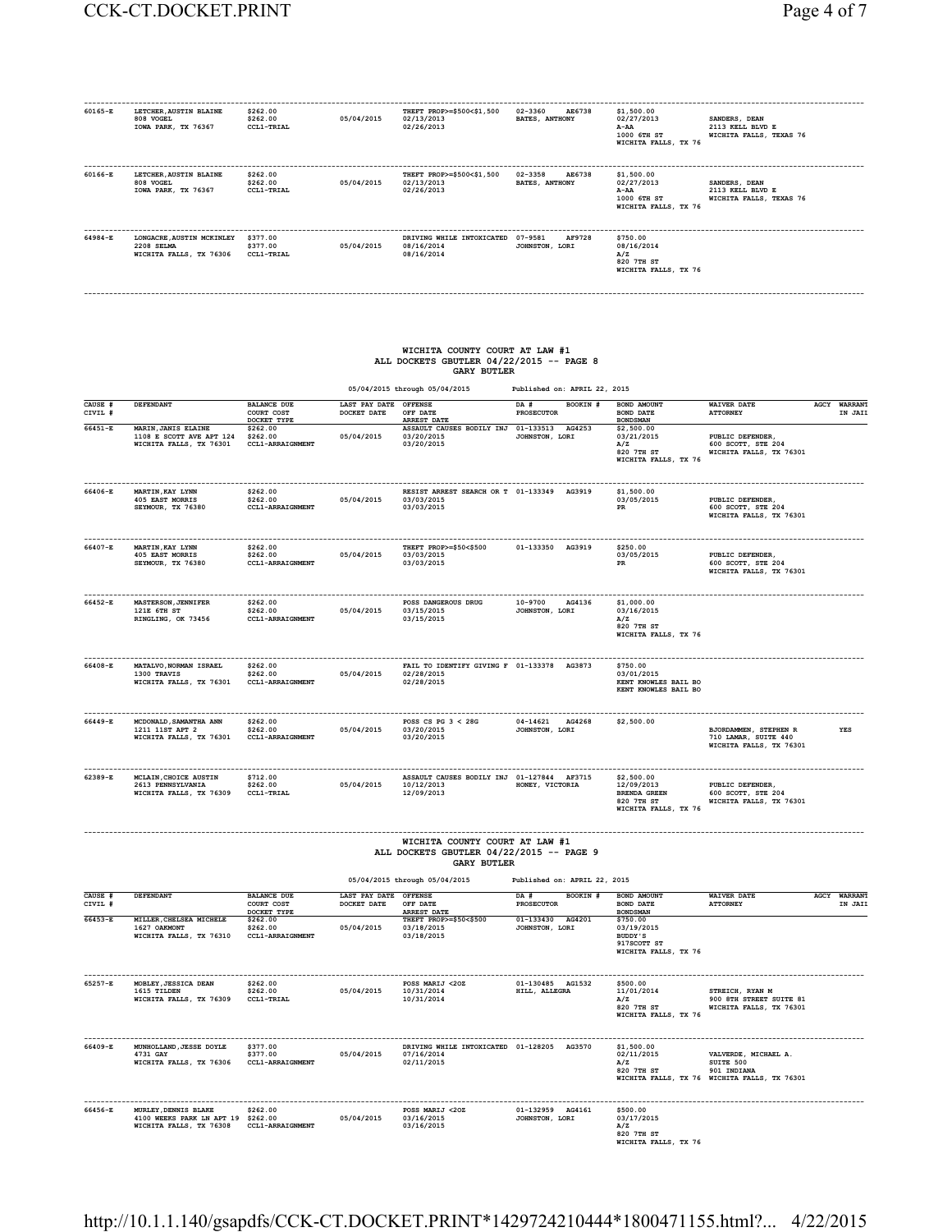| 60165-E | LETCHER, AUSTIN BLAINE<br>808 VOGEL<br>IOWA PARK, TX 76367         | \$262.00<br>\$262.00<br>CCL1-TRIAL | 05/04/2015 | THEFT PROP>=\$500<\$1,500<br>02/13/2013<br>02/26/2013 | 02-3360<br>AE6738<br><b>BATES, ANTHONY</b> | \$1,500.00<br>02/27/2013<br>A-AA<br>1000 6TH ST<br>WICHITA FALLS, TX 76 | SANDERS, DEAN<br>2113 KELL BLVD E<br>WICHITA FALLS, TEXAS 76 |
|---------|--------------------------------------------------------------------|------------------------------------|------------|-------------------------------------------------------|--------------------------------------------|-------------------------------------------------------------------------|--------------------------------------------------------------|
| 60166-E | LETCHER, AUSTIN BLAINE<br>808 VOGEL<br>IOWA PARK, TX 76367         | \$262.00<br>\$262.00<br>CCL1-TRIAL | 05/04/2015 | THEFT PROP>=\$500<\$1,500<br>02/13/2013<br>02/26/2013 | 02-3358<br>AE6738<br><b>BATES, ANTHONY</b> | \$1,500.00<br>02/27/2013<br>A-AA<br>1000 6TH ST<br>WICHITA FALLS, TX 76 | SANDERS, DEAN<br>2113 KELL BLVD E<br>WICHITA FALLS, TEXAS 76 |
| 64984-E | LONGACRE, AUSTIN MCKINLEY<br>2208 SELMA<br>WICHITA FALLS, TX 76306 | \$377.00<br>\$377.00<br>CCL1-TRIAL | 05/04/2015 | DRIVING WHILE INTOXICATED<br>08/16/2014<br>08/16/2014 | 07-9581<br>AF9728<br>JOHNSTON, LORI        | \$750.00<br>08/16/2014<br>A/Z<br>820 7TH ST<br>WICHITA FALLS, TX 76     |                                                              |

**------------------------------------------------------------------------------------------------------------------------------------------------------------------------------------------**

## **WICHITA COUNTY COURT AT LAW #1 ALL DOCKETS GBUTLER 04/22/2015 -- PAGE 8 GARY BUTLER**

| 05/04/2015 through 05/04/2015 | Published on: APRIL 22, 2015 |
|-------------------------------|------------------------------|
|                               |                              |

| CAUSE #<br>CIVIL # | DEFENDANT                                                                                | <b>BALANCE DUE</b><br>COURT COST<br>DOCKET TYPE         | LAST PAY DATE<br>DOCKET DATE         | <b>OFFENSE</b><br>OFF DATE<br><b>ARREST DATE</b>                                                 | DA #<br>BOOKIN #<br>PROSECUTOR     | BOND AMOUNT<br>BOND DATE<br><b>BOND SMAN</b>                                   | <b>WAIVER DATE</b><br><b>ATTORNEY</b>                                                                | <b>AGCY WARRANT</b><br>IN JAII |
|--------------------|------------------------------------------------------------------------------------------|---------------------------------------------------------|--------------------------------------|--------------------------------------------------------------------------------------------------|------------------------------------|--------------------------------------------------------------------------------|------------------------------------------------------------------------------------------------------|--------------------------------|
| 66451-E            | MARIN. JANIS ELAINE<br>1108 E SCOTT AVE APT 124<br>WICHITA FALLS, TX 76301               | \$262.00<br>\$262.00<br>CCL1-ARRAIGNMENT                | 05/04/2015                           | ASSAULT CAUSES BODILY INJ 01-133513 AG4253<br>03/20/2015<br>03/20/2015                           | JOHNSTON, LORI                     | \$2,500.00<br>03/21/2015<br>A/Z<br>820 7TH ST<br>WICHITA FALLS, TX 76          | PUBLIC DEFENDER<br>600 SCOTT, STE 204<br>WICHITA FALLS, TX 76301                                     |                                |
| 66406-E            | MARTIN, KAY LYNN<br>405 EAST MORRIS<br>SEYMOUR, TX 76380                                 | \$262.00<br>\$262.00<br>CCL1-ARRAIGNMENT                | 05/04/2015                           | RESIST ARREST SEARCH OR T 01-133349 AG3919<br>03/03/2015<br>03/03/2015                           |                                    | \$1,500.00<br>03/05/2015<br>PR                                                 | ------------------<br>PUBLIC DEFENDER,<br>600 SCOTT, STE 204<br>WICHITA FALLS, TX 76301              |                                |
| 66407-E            | MARTIN, KAY LYNN<br>405 EAST MORRIS<br>SEYMOUR, TX 76380                                 | \$262.00<br>\$262.00<br>$\verb CCL1-ARRA1GNMENT $       | 05/04/2015                           | THEFT PROP>=\$50<\$500<br>03/03/2015<br>03/03/2015                                               | 01-133350 AG3919                   | \$250.00<br>03/05/2015<br>PR                                                   | PUBLIC DEFENDER.<br>600 SCOTT, STE 204<br>WICHITA FALLS, TX 76301                                    |                                |
| 66452-R            | <b>MASTERSON, JENNIFER</b><br>121E 6TH ST<br>RINGLING, OK 73456                          | \$262.00<br>\$262.00<br>CCL1-ARRAIGNMENT                | 05/04/2015                           | POSS DANGEROUS DRUG<br>03/15/2015<br>03/15/2015                                                  | 10-9700 AG4136<br>JOHNSTON, LORI   | \$1,000.00<br>03/16/2015<br>A/Z<br>820 7TH ST<br>WICHITA FALLS, TX 76          |                                                                                                      |                                |
| 66408-E            | MATALVO, NORMAN ISRAEL<br>1300 TRAVIS<br>WICHITA FALLS, TX 76301                         | \$262.00<br>\$262.00<br>CCL1-ARRAIGNMENT                | 05/04/2015                           | FAIL TO IDENTIFY GIVING F 01-133378 AG3873<br>02/28/2015<br>02/28/2015                           |                                    | \$750.00<br>03/01/2015<br>KENT KNOWLES BAIL BO<br>KENT KNOWLES BAIL BO         |                                                                                                      |                                |
| 66449-E            | MCDONALD, SAMANTHA ANN<br>1211 11ST APT 2<br>WICHITA FALLS, TX 76301                     | \$262.00<br>\$262.00<br><b>CCL1-ARRAIGNMENT</b>         | 05/04/2015                           | POSS CS PG $3 < 28$ G<br>03/20/2015<br>03/20/2015                                                | 04-14621 AG4268<br>JOHNSTON, LORI  | \$2,500.00                                                                     | BJORDAMMEN, STEPHEN R<br>710 LAMAR, SUITE 440<br>WICHITA FALLS, TX 76301                             | <b>YES</b>                     |
| 62389-R            | MCLAIN, CHOICE AUSTIN<br>2613 PENNSYLVANIA<br>WICHITA FALLS, TX 76309                    | \$712.00<br>\$262.00<br>$CCL1-TRIAL$                    | 05/04/2015                           | ASSAULT CAUSES BODILY INJ 01-127844 AF3715<br>10/12/2013<br>12/09/2013                           | HONEY, VICTORIA                    | \$2.500.00<br>12/09/2013<br>BRENDA GREEN<br>820 7TH ST<br>WICHITA FALLS, TX 76 | PUBLIC DEFENDER,<br>600 SCOTT, STE 204<br>WICHITA FALLS, TX 76301                                    |                                |
|                    |                                                                                          |                                                         |                                      | WICHITA COUNTY COURT AT LAW #1<br>ALL DOCKETS GBUTLER 04/22/2015 -- PAGE 9<br><b>GARY BUTLER</b> |                                    |                                                                                |                                                                                                      |                                |
|                    |                                                                                          |                                                         |                                      | 05/04/2015 through 05/04/2015                                                                    | Published on: APRIL 22, 2015       |                                                                                |                                                                                                      |                                |
| CAUSE #<br>CIVIL # | <b>DEFENDANT</b>                                                                         | <b>BALANCE DUE</b><br>COURT COST<br>DOCKET TYPE         | LAST PAY DATE OFFENSE<br>DOCKET DATE | OFF DATE<br>ARREST DATE                                                                          | DA #<br>BOOKIN #<br>PROSECUTOR     | BOND AMOUNT<br>BOND DATE<br><b>BONDSMAN</b>                                    | <b>WAIVER DATE</b><br><b>ATTORNEY</b>                                                                | AGCY WARRANT<br>IN JAIL        |
| $66453 - E$        | MILLER, CHELSEA MICHELE<br>1627 OAKMONT<br>WICHITA FALLS, TX 76310                       | \$262.00<br>\$262.00<br>CCL1-ARRAIGNMENT                | 05/04/2015                           | THEFT PROP>=\$50<\$500<br>03/18/2015<br>03/18/2015                                               | 01-133430 AG4201<br>JOHNSTON, LORI | \$750.00<br>03/19/2015<br>BUDDY'S<br>917SCOTT ST<br>WICHITA FALLS, TX 76       |                                                                                                      |                                |
| 65257-E            | MOBLEY, JESSICA DEAN<br>1615 TILDEN<br>WICHITA FALLS, TX 76309                           | \$262.00<br>\$262.00<br>$CCL1-TRIAL$                    | 05/04/2015                           | POSS MARIJ <20Z<br>10/31/2014<br>10/31/2014                                                      | 01-130485 AG1532<br>HILL, ALLEGRA  | \$500.00<br>11/01/2014<br>A/Z<br>820 7TH ST<br>WICHITA FALLS, TX 76            | STREICH, RYAN M<br>900 8TH STREET SUITE 81<br>WICHITA FALLS, TX 76301                                |                                |
| ------<br>66409-E  | ----------------------<br>MUNHOLLAND, JESSE DOYLE<br>4731 GAY<br>WICHITA FALLS, TX 76306 | -----------<br>\$377.00<br>\$377.00<br>CCL1-ARRAIGNMENT | 05/04/2015                           | DRIVING WHILE INTOXICATED 01-128205 AG3570<br>07/16/2014<br>02/11/2015                           |                                    | .<br>\$1,500.00<br>02/11/2015<br>A/Z<br>820 7TH ST                             | <br>VALVERDE, MICHAEL A.<br>SUITE 500<br>901 INDIANA<br>WICHITA FALLS, TX 76 WICHITA FALLS, TX 76301 |                                |
| 66456-E            | MURLEY, DENNIS BLAKE<br>4100 WEEKS PARK LN APT 19<br>WICHITA FALLS, TX 76308             | \$262.00<br>\$262.00<br>CCL1-ARRAIGNMENT                | 05/04/2015                           | POSS MARIJ <20Z<br>03/16/2015<br>03/16/2015                                                      | 01-132959 AG4161<br>JOHNSTON, LORI | \$500.00<br>03/17/2015<br>A/Z<br>820 7TH ST<br>WICHITA FALLS, TX 76            |                                                                                                      |                                |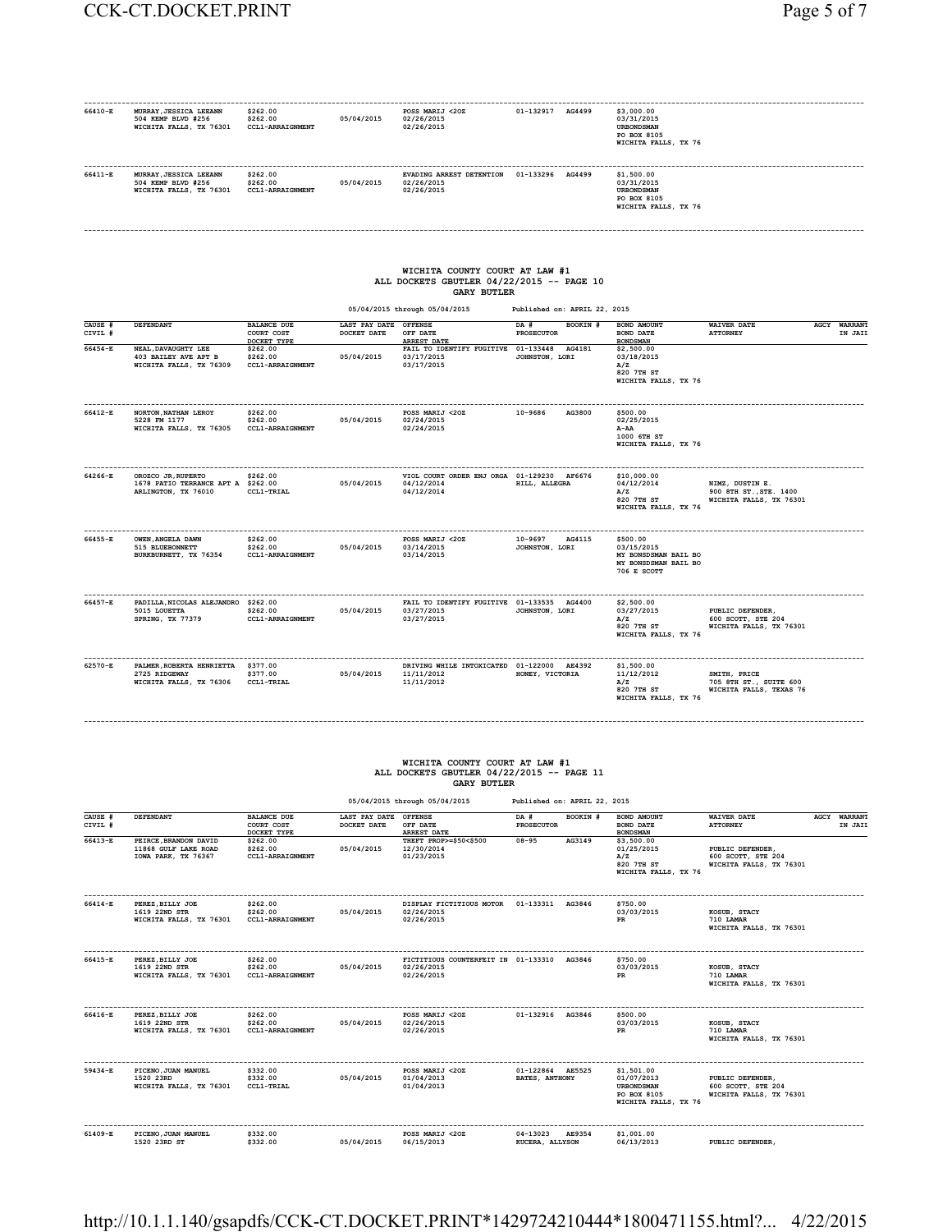| 66410-E            | MURRAY, JESSICA LEEANN<br>504 KEMP BLVD #256<br>WICHITA FALLS, TX 76301 CCL1-ARRAIGNMENT              | \$262.00<br>\$262.00                                           | 05/04/2015                                    | POSS MARIJ <20Z<br>02/26/2015<br>02/26/2015                                                                                        | 01-132917 AG4499                                 | \$3,000.00<br>03/31/2015<br><b>URBONDSMAN</b><br>PO BOX 8105<br>WICHITA FALLS, TX 76     |                                                                      |                         |
|--------------------|-------------------------------------------------------------------------------------------------------|----------------------------------------------------------------|-----------------------------------------------|------------------------------------------------------------------------------------------------------------------------------------|--------------------------------------------------|------------------------------------------------------------------------------------------|----------------------------------------------------------------------|-------------------------|
| 66411-E            | MURRAY, JESSICA LEEANN<br>504 KEMP BLVD #256<br>WICHITA FALLS, TX 76301 CCL1-ARRAIGNMENT              | \$262.00<br>\$262.00                                           | 05/04/2015                                    | EVADING ARREST DETENTION  01-133296  AG4499<br>02/26/2015<br>02/26/2015                                                            |                                                  | \$1,500.00<br>03/31/2015<br><b>URBONDSMAN</b><br>PO BOX 8105<br>WICHITA FALLS, TX 76     |                                                                      |                         |
|                    |                                                                                                       |                                                                |                                               | WICHITA COUNTY COURT AT LAW #1<br>ALL DOCKETS GBUTLER 04/22/2015 -- PAGE 10<br><b>GARY BUTLER</b><br>05/04/2015 through 05/04/2015 | Published on: APRIL 22, 2015                     |                                                                                          |                                                                      |                         |
| CAUSE #            | DEFENDANT                                                                                             | <b>BALANCE DUE</b>                                             | LAST PAY DATE OFFENSE                         |                                                                                                                                    | DA #<br>BOOKIN #                                 | <b>BOND AMOUNT</b>                                                                       | <b>WAIVER DATE</b>                                                   | AGCY WARRANT            |
| CIVIL #            |                                                                                                       | COURT COST<br>DOCKET TYPE                                      | DOCKET DATE                                   | OFF DATE<br>ARREST DATE                                                                                                            | PROSECUTOR                                       | BOND DATE<br><b>BOND SMAN</b>                                                            | <b>ATTORNEY</b>                                                      | IN JAII                 |
| 66454-E            | NEAL, DAVAUGHTY LEE<br>403 BAILEY AVE APT B<br>WICHITA FALLS, TX 76309 CCL1-ARRAIGNMENT               | \$262.00<br>\$262.00                                           | 05/04/2015                                    | FAIL TO IDENTIFY FUGITIVE 01-133448 AG4181<br>03/17/2015<br>03/17/2015                                                             | JOHNSTON, LORI                                   | \$2,500.00<br>03/18/2015<br>A/Z<br>820 7TH ST<br>WICHITA FALLS, TX 76                    |                                                                      |                         |
| 66412-E            | NORTON, NATHAN LEROY<br>5228 FM 1177<br>WICHITA FALLS, TX 76305                                       | \$262.00<br>\$262.00<br>CCL1-ARRAIGNMENT                       | 05/04/2015                                    | POSS MARIJ <20Z<br>02/24/2015<br>02/24/2015                                                                                        | 10-9686<br>AG3800                                | \$500.00<br>02/25/2015<br>A-AA<br>1000 6TH ST<br>WICHITA FALLS, TX 76                    |                                                                      |                         |
| 64266-E            | OROZCO JR, RUPERTO<br>1678 PATIO TERRANCE APT A \$262.00<br>ARLINGTON, TX 76010 CCL1-TRIAL            | \$262.00                                                       | 05/04/2015                                    | VIOL COURT ORDER ENJ ORGA 01-129230 AF6676<br>04/12/2014<br>04/12/2014                                                             | HILL, ALLEGRA                                    | \$10,000.00<br>04/12/2014<br>A/Z<br>820 7TH ST<br>WICHITA FALLS, TX 76                   | NIMZ, DUSTIN E.<br>900 8TH ST., STE. 1400<br>WICHITA FALLS, TX 76301 |                         |
| 66455-E            | .<br>OWEN.ANGELA DAWN<br>515 BLUEBONNETT<br>BURKBURNETT, TX 76354                                     | ------------------<br>\$262.00<br>\$262.00<br>CCL1-ARRAIGNMENT | 05/04/2015                                    | .<br>POSS MARIJ <20Z<br>03/14/2015<br>03/14/2015                                                                                   | ------------<br>10-9697 AG4115<br>JOHNSTON, LORI | \$500.00<br>03/15/2015<br>MY BONSDSMAN BAIL BO<br>MY BONSDSMAN BAIL BO<br>706 E SCOTT    |                                                                      |                         |
| 66457-E            | PADILLA, NICOLAS ALEJANDRO \$262.00<br>5015 LOUETTA<br>SPRING, TX 77379                               | \$262.00<br><b>CCL1-ARRAIGNMENT</b>                            | 05/04/2015                                    | FAIL TO IDENTIFY FUGITIVE 01-133535 AG4400<br>03/27/2015<br>03/27/2015                                                             | JOHNSTON, LORI                                   | \$2,500.00<br>03/27/2015<br>A/Z<br>820 7TH ST<br>WICHITA FALLS, TX 76                    | PUBLIC DEFENDER,<br>600 SCOTT, STE 204<br>WICHITA FALLS, TX 76301    |                         |
| 62570-E            | PALMER, ROBERTA HENRIETTA \$377.00<br>2725 RIDGEWAY<br>WICHITA FALLS, TX 76306 CCL1-TRIAL             | \$377.00                                                       | 05/04/2015                                    | DRIVING WHILE INTOXICATED 01-122000 AE4392<br>11/11/2012<br>11/11/2012                                                             | HONEY, VICTORIA                                  | \$1,500.00<br>11/12/2012<br>A/Z<br>820 7TH ST<br>WICHITA FALLS, TX 76                    | SMITH, PRICE<br>705 8TH ST., SUITE 600<br>WICHITA FALLS, TEXAS 76    |                         |
|                    |                                                                                                       |                                                                |                                               | WICHITA COUNTY COURT AT LAW #1<br>ALL DOCKETS GBUTLER 04/22/2015 -- PAGE 11<br><b>GARY BUTLER</b><br>05/04/2015 through 05/04/2015 | Published on: APRIL 22, 2015                     |                                                                                          |                                                                      |                         |
| CAUSE #<br>CIVIL # | DEFENDANT                                                                                             | <b>BALANCE DUE</b><br>COURT COST                               | LAST PAY DATE OFFENSE<br>DOCKET DATE OFF DATE |                                                                                                                                    | BOOKIN #<br>$DA$ #<br><b>PROSECUTOR</b>          | BOND AMOUNT<br><b>BOND DATE</b>                                                          | <b>WAIVER DATE</b><br><b>ATTORNEY</b>                                | AGCY WARRANT<br>IN JAIL |
| 66413-E            | PEIRCE, BRANDON DAVID<br>11868 GULF LAKE ROAD<br>IOWA PARK, TX 76367                                  | DOCKET TYPE<br>\$262.00<br>\$262.00<br>CCL1-ARRAIGNMENT        | 05/04/2015                                    | ARREST DATE<br>THEFT PROP>=\$50<\$500 08-95<br>12/30/2014<br>01/23/2015                                                            | AG3149                                           | <b>BONDSMAN</b><br>\$3,500.00<br>01/25/2015<br>A/Z<br>820 7TH ST<br>WICHITA FALLS, TX 76 | PUBLIC DEFENDER,<br>600 SCOTT, STE 204<br>WICHITA FALLS, TX 76301    |                         |
| 66414-E            | PEREZ, BILLY JOE \$262.00<br>1619 22ND STR<br>WICHITA FALLS, TX 76301 CCL1-ARRAIGNMENT                | \$262.00                                                       | 05/04/2015                                    | DISPLAY FICTITIOUS MOTOR  01-133311  AG3846<br>02/26/2015<br>02/26/2015                                                            |                                                  | \$750.00<br>03/03/2015<br>PR                                                             | KOSUB, STACY<br>710 LAMAR<br>WICHITA FALLS, TX 76301                 |                         |
| 66415-R            | PEREZ.BILLY JOE<br>1619 22ND STR<br>WICHITA FALLS, TX 76301 CCL1-ARRAIGNMENT                          | \$262.00<br>\$262.00                                           | 05/04/2015                                    | FICTITIOUS COUNTERFEIT IN 01-133310 AG3846<br>02/26/2015<br>02/26/2015                                                             |                                                  | \$750.00<br>03/03/2015<br>$_{\rm PR}$                                                    | KOSUB, STACY<br>710 LAMAR<br>WICHITA FALLS, TX 76301                 |                         |
| .<br>66416-E       | --------------------<br>PEREZ, BILLY JOE<br>1619 22ND STR<br>WICHITA FALLS, TX 76301 CCL1-ARRAIGNMENT | \$262.00<br>\$262.00                                           | 05/04/2015                                    | POSS MARIJ <20Z 01-132916 AG3846<br>02/26/2015<br>02/26/2015                                                                       |                                                  | \$500.00<br>03/03/2015<br>PR                                                             | KOSUB, STACY<br>710 LAMAR<br>WICHITA FALLS, TX 76301                 |                         |
| 59434-E            | PICENO, JUAN MANUEL<br>1520 23RD<br>WICHITA FALLS, TX 76301 CCL1-TRIAL                                | \$332.00<br>\$332.00                                           | 05/04/2015                                    | POSS MARIJ <202 01-122864 AE5525<br>01/04/2013<br>01/04/2013                                                                       | BATES, ANTHONY                                   | \$1,501.00<br>01/07/2013<br><b>URBONDSMAN</b><br>PO BOX 8105<br>WICHITA FALLS, TX 76     | PUBLIC DEFENDER.<br>600 SCOTT, STE 204<br>WICHITA FALLS, TX 76301    |                         |
| 61409-E            | PICENO, JUAN MANUEL<br>1520 23RD ST                                                                   | \$332.00<br>\$332.00                                           | 05/04/2015                                    | POSS MARIJ <20Z<br>06/15/2013                                                                                                      | 04-13023 AE9354<br>KUCERA, ALLYSON               | \$1,001.00<br>06/13/2013                                                                 | PUBLIC DEFENDER,                                                     |                         |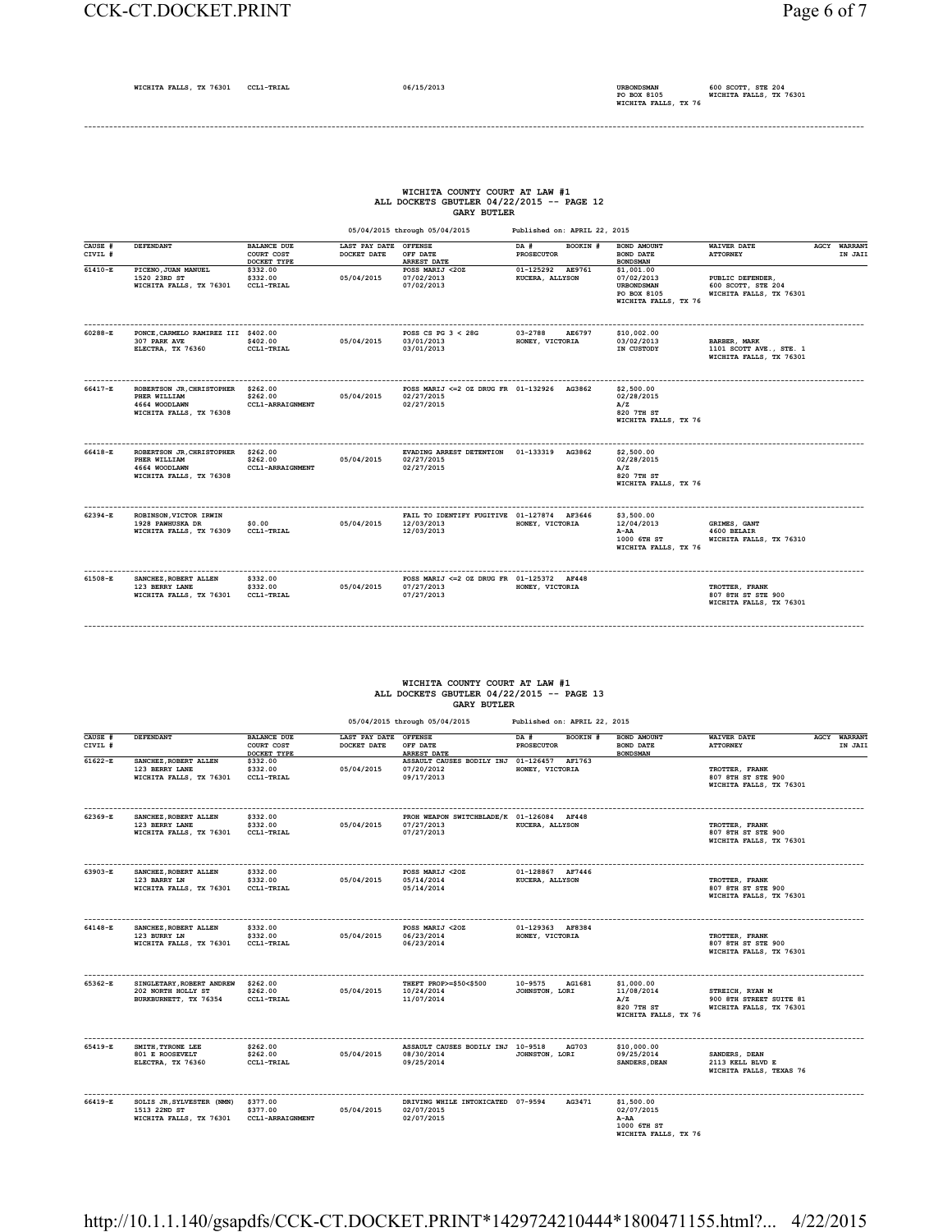#### CCK-CT.DOCKET.PRINT Page 6 of 7

## **WICHITA COUNTY COURT AT LAW #1 ALL DOCKETS GBUTLER 04/22/2015 -- PAGE 12 GARY BUTLER**

 **05/04/2015 through 05/04/2015 Published on: APRIL 22, 2015**

| CAUSE #<br>CIVIL # | DEFENDANT                                                                             | <b>BALANCE DUE</b><br>COURT COST<br>DOCKET TYPE | LAST PAY DATE<br>DOCKET DATE | <b>OFFENSE</b><br>OFF DATE<br><b>ARREST DATE</b>                        | BOOKIN #<br>DA #<br><b>PROSECUTOR</b> | BOND AMOUNT<br>BOND DATE<br><b>BONDSMAN</b>                                          | <b>WAIVER DATE</b><br><b>ATTORNEY</b>                              | <b>AGCY WARRANT</b><br>IN JAII |
|--------------------|---------------------------------------------------------------------------------------|-------------------------------------------------|------------------------------|-------------------------------------------------------------------------|---------------------------------------|--------------------------------------------------------------------------------------|--------------------------------------------------------------------|--------------------------------|
| 61410-E            | PICENO, JUAN MANUEL<br>1520 23RD ST<br>WICHITA FALLS, TX 76301                        | \$332.00<br>\$332.00<br>CCL1-TRIAL              | 05/04/2015                   | POSS MARIJ <20Z<br>07/02/2013<br>07/02/2013                             | 01-125292 AE9761<br>KUCERA, ALLYSON   | \$1,001.00<br>07/02/2013<br><b>URBONDSMAN</b><br>PO BOX 8105<br>WICHITA FALLS, TX 76 | PUBLIC DEFENDER,<br>600 SCOTT, STE 204<br>WICHITA FALLS, TX 76301  |                                |
| 60288-E            | PONCE, CARMELO RAMIREZ III \$402.00<br>307 PARK AVE<br>ELECTRA, TX 76360              | \$402.00<br>CCL1-TRIAL                          | 05/04/2015                   | POSS CS PG $3 < 28$ G<br>03/01/2013<br>03/01/2013                       | 03-2788<br>AE6797<br>HONEY, VICTORIA  | \$10,002.00<br>03/02/2013<br>IN CUSTODY                                              | BARBER, MARK<br>1101 SCOTT AVE., STE. 1<br>WICHITA FALLS, TX 76301 |                                |
| 66417-E            | ROBERTSON JR, CHRISTOPHER<br>PHER WILLIAM<br>4664 WOODLAWN<br>WICHITA FALLS, TX 76308 | \$262.00<br>\$262.00<br><b>CCL1-ARRAIGNMENT</b> | 05/04/2015                   | POSS MARIJ <= 2 OZ DRUG FR 01-132926 AG3862<br>02/27/2015<br>02/27/2015 |                                       | \$2,500.00<br>02/28/2015<br>A/Z<br>820 7TH ST<br>WICHITA FALLS, TX 76                |                                                                    |                                |
| 66418-E            | ROBERTSON JR, CHRISTOPHER<br>PHER WILLIAM<br>4664 WOODLAWN<br>WICHITA FALLS, TX 76308 | \$262.00<br>\$262.00<br><b>CCL1-ARRAIGNMENT</b> | 05/04/2015                   | EVADING ARREST DETENTION  01-133319  AG3862<br>02/27/2015<br>02/27/2015 |                                       | \$2,500.00<br>02/28/2015<br>A/Z<br>820 7TH ST<br>WICHITA FALLS, TX 76                |                                                                    |                                |
| 62394-E            | ROBINSON, VICTOR IRWIN<br>1928 PAWHUSKA DR<br>WICHITA FALLS, TX 76309                 | \$0.00<br><b>CCL1-TRIAL</b>                     | 05/04/2015                   | FAIL TO IDENTIFY FUGITIVE 01-127874 AF3646<br>12/03/2013<br>12/03/2013  | HONEY, VICTORIA                       | \$3,500.00<br>12/04/2013<br>$A-AA$<br>1000 6TH ST<br>WICHITA FALLS, TX 76            | GRIMES, GANT<br>4600 BELAIR<br>WICHITA FALLS, TX 76310             |                                |
| 61508-E            | SANCHEZ, ROBERT ALLEN<br>123 BERRY LANE<br>WICHITA FALLS, TX 76301                    | \$332.00<br>\$332.00<br><b>CCL1-TRIAL</b>       | 05/04/2015                   | POSS MARIJ <= 2 OZ DRUG FR 01-125372 AF448<br>07/27/2013<br>07/27/2013  | HONEY, VICTORIA                       |                                                                                      | TROTTER, FRANK<br>807 8TH ST STE 900<br>WICHITA FALLS, TX 76301    |                                |

## **WICHITA COUNTY COURT AT LAW #1 ALL DOCKETS GBUTLER 04/22/2015 -- PAGE 13 GARY BUTLER**

**------------------------------------------------------------------------------------------------------------------------------------------------------------------------------------------**

|                    |                                                                          |                                                 | 05/04/2015 through 05/04/2015<br>Published on: APRIL 22, 2015 |                                                                       |                                       |                                                                         |                                                                       |  |                                |
|--------------------|--------------------------------------------------------------------------|-------------------------------------------------|---------------------------------------------------------------|-----------------------------------------------------------------------|---------------------------------------|-------------------------------------------------------------------------|-----------------------------------------------------------------------|--|--------------------------------|
| CAUSE #<br>CIVIL # | DEFENDANT                                                                | <b>BALANCE DUE</b><br>COURT COST<br>DOCKET TYPE | LAST PAY DATE OFFENSE<br>DOCKET DATE                          | OFF DATE<br><b>ARREST DATE</b>                                        | DA #<br>BOOKIN #<br><b>PROSECUTOR</b> | BOND AMOUNT<br><b>BOND DATE</b><br><b>BONDSMAN</b>                      | <b>WAIVER DATE</b><br><b>ATTORNEY</b>                                 |  | <b>AGCY WARRANT</b><br>IN JAII |
| $61622 - E$        | SANCHEZ, ROBERT ALLEN<br>123 BERRY LANE<br>WICHITA FALLS, TX 76301       | \$332.00<br>\$332.00<br>CCL1-TRIAL              | 05/04/2015                                                    | ASSAULT CAUSES BODILY INJ<br>07/20/2012<br>09/17/2013                 | 01-126457 AF1763<br>HONEY, VICTORIA   |                                                                         | TROTTER, FRANK<br>807 8TH ST STE 900<br>WICHITA FALLS, TX 76301       |  |                                |
| 62369-E            | SANCHEZ, ROBERT ALLEN<br>123 BERRY LANE<br>WICHITA FALLS, TX 76301       | \$332.00<br>\$332.00<br>CCL1-TRIAL              | 05/04/2015                                                    | PROH WEAPON SWITCHBLADE/K 01-126084 AF448<br>07/27/2013<br>07/27/2013 | KUCERA, ALLYSON                       |                                                                         | TROTTER, FRANK<br>807 8TH ST STE 900<br>WICHITA FALLS, TX 76301       |  |                                |
| 63903-E            | SANCHEZ, ROBERT ALLEN<br>123 BARRY LN<br>WICHITA FALLS, TX 76301         | \$332.00<br>\$332.00<br>CCL1-TRIAL              | 05/04/2015                                                    | POSS MARIJ <20Z<br>05/14/2014<br>05/14/2014                           | 01-128867 AF7446<br>KUCERA, ALLYSON   |                                                                         | TROTTER, FRANK<br>807 8TH ST STE 900<br>WICHITA FALLS, TX 76301       |  |                                |
| 64148-E            | SANCHEZ, ROBERT ALLEN<br>123 BURRY LN<br>WICHITA FALLS, TX 76301         | \$332.00<br>\$332.00<br><b>CCL1-TRIAL</b>       | 05/04/2015                                                    | POSS MARIJ <20Z<br>06/23/2014<br>06/23/2014                           | 01-129363 AF8384<br>HONEY, VICTORIA   |                                                                         | TROTTER, FRANK<br>807 8TH ST STE 900<br>WICHITA FALLS, TX 76301       |  |                                |
| 65362-E            | SINGLETARY, ROBERT ANDREW<br>202 NORTH HOLLY ST<br>BURKBURNETT, TX 76354 | \$262.00<br>\$262.00<br>CCL1-TRIAL              | 05/04/2015                                                    | THEFT PROP>=\$50<\$500<br>10/24/2014<br>11/07/2014                    | 10-9575<br>AG1681<br>JOHNSTON, LORI   | \$1,000.00<br>11/08/2014<br>A/Z<br>820 7TH ST<br>WICHITA FALLS, TX 76   | STREICH, RYAN M<br>900 8TH STREET SUITE 81<br>WICHITA FALLS, TX 76301 |  |                                |
| 65419-E            | SMITH, TYRONE LEE<br><b>801 E ROOSEVELT</b><br>ELECTRA, TX 76360         | \$262.00<br>\$262.00<br>CCL1-TRIAL              | 05/04/2015                                                    | ASSAULT CAUSES BODILY INJ 10-9518<br>08/30/2014<br>09/25/2014         | AG703<br>JOHNSTON, LORI               | \$10,000.00<br>09/25/2014<br>SANDERS, DEAN                              | SANDERS, DEAN<br>2113 KELL BLVD E<br>WICHITA FALLS, TEXAS 76          |  |                                |
| 66419-E            | SOLIS JR, SYLVESTER (NMN)<br>1513 22ND ST<br>WICHITA FALLS, TX 76301     | \$377.00<br>\$377.00<br>CCL1-ARRAIGNMENT        | 05/04/2015                                                    | DRIVING WHILE INTOXICATED 07-9594<br>02/07/2015<br>02/07/2015         | AG3471                                | \$1,500.00<br>02/07/2015<br>A-AA<br>1000 6TH ST<br>WICHITA FALLS, TX 76 |                                                                       |  |                                |